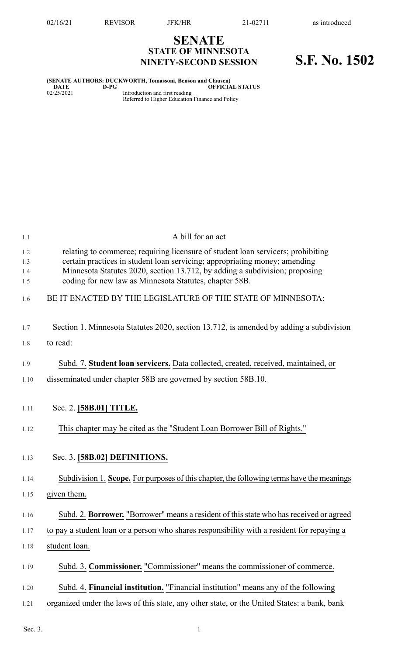## **SENATE STATE OF MINNESOTA NINETY-SECOND SESSION S.F. No. 1502**

**(SENATE AUTHORS: DUCKWORTH, Tomassoni, Benson and Clausen) DATE D-PG OFFICIAL STATUS** 02/25/2021 Introduction and first reading Referred to Higher Education Finance and Policy

| 1.1        | A bill for an act                                                                                                                                              |
|------------|----------------------------------------------------------------------------------------------------------------------------------------------------------------|
| 1.2<br>1.3 | relating to commerce; requiring licensure of student loan servicers; prohibiting<br>certain practices in student loan servicing; appropriating money; amending |
| 1.4<br>1.5 | Minnesota Statutes 2020, section 13.712, by adding a subdivision; proposing<br>coding for new law as Minnesota Statutes, chapter 58B.                          |
| 1.6        | BE IT ENACTED BY THE LEGISLATURE OF THE STATE OF MINNESOTA:                                                                                                    |
| 1.7        | Section 1. Minnesota Statutes 2020, section 13.712, is amended by adding a subdivision                                                                         |
| 1.8        | to read:                                                                                                                                                       |
| 1.9        | Subd. 7. Student loan servicers. Data collected, created, received, maintained, or                                                                             |
| 1.10       | disseminated under chapter 58B are governed by section 58B.10.                                                                                                 |
| 1.11       | Sec. 2. [58B.01] TITLE.                                                                                                                                        |
| 1.12       | This chapter may be cited as the "Student Loan Borrower Bill of Rights."                                                                                       |
| 1.13       | Sec. 3. [58B.02] DEFINITIONS.                                                                                                                                  |
| 1.14       | Subdivision 1. Scope. For purposes of this chapter, the following terms have the meanings                                                                      |
| 1.15       | given them.                                                                                                                                                    |
| 1.16       | Subd. 2. Borrower. "Borrower" means a resident of this state who has received or agreed                                                                        |
| 1.17       | to pay a student loan or a person who shares responsibility with a resident for repaying a                                                                     |
| 1.18       | student loan.                                                                                                                                                  |
| 1.19       | Subd. 3. Commissioner. "Commissioner" means the commissioner of commerce.                                                                                      |
| 1.20       | Subd. 4. Financial institution. "Financial institution" means any of the following                                                                             |
| 1.21       | organized under the laws of this state, any other state, or the United States: a bank, bank                                                                    |
| Sec. 3.    |                                                                                                                                                                |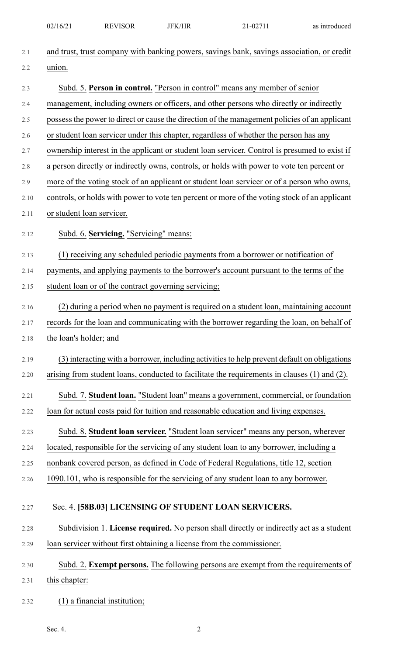|      | 02/16/21                  | <b>REVISOR</b>                                       | <b>JFK/HR</b> | 21-02711                                                                                      | as introduced |
|------|---------------------------|------------------------------------------------------|---------------|-----------------------------------------------------------------------------------------------|---------------|
| 2.1  |                           |                                                      |               | and trust, trust company with banking powers, savings bank, savings association, or credit    |               |
| 2.2  | union.                    |                                                      |               |                                                                                               |               |
| 2.3  |                           |                                                      |               | Subd. 5. Person in control. "Person in control" means any member of senior                    |               |
| 2.4  |                           |                                                      |               | management, including owners or officers, and other persons who directly or indirectly        |               |
| 2.5  |                           |                                                      |               | possess the power to direct or cause the direction of the management policies of an applicant |               |
| 2.6  |                           |                                                      |               | or student loan servicer under this chapter, regardless of whether the person has any         |               |
| 2.7  |                           |                                                      |               | ownership interest in the applicant or student loan servicer. Control is presumed to exist if |               |
| 2.8  |                           |                                                      |               | a person directly or indirectly owns, controls, or holds with power to vote ten percent or    |               |
| 2.9  |                           |                                                      |               | more of the voting stock of an applicant or student loan servicer or of a person who owns,    |               |
| 2.10 |                           |                                                      |               | controls, or holds with power to vote ten percent or more of the voting stock of an applicant |               |
| 2.11 | or student loan servicer. |                                                      |               |                                                                                               |               |
| 2.12 |                           | Subd. 6. Servicing. "Servicing" means:               |               |                                                                                               |               |
| 2.13 |                           |                                                      |               | (1) receiving any scheduled periodic payments from a borrower or notification of              |               |
| 2.14 |                           |                                                      |               | payments, and applying payments to the borrower's account pursuant to the terms of the        |               |
| 2.15 |                           | student loan or of the contract governing servicing; |               |                                                                                               |               |
| 2.16 |                           |                                                      |               | (2) during a period when no payment is required on a student loan, maintaining account        |               |
| 2.17 |                           |                                                      |               | records for the loan and communicating with the borrower regarding the loan, on behalf of     |               |
| 2.18 | the loan's holder; and    |                                                      |               |                                                                                               |               |
| 2.19 |                           |                                                      |               | (3) interacting with a borrower, including activities to help prevent default on obligations  |               |
| 2.20 |                           |                                                      |               | arising from student loans, conducted to facilitate the requirements in clauses (1) and (2).  |               |
| 2.21 |                           |                                                      |               | Subd. 7. Student loan. "Student loan" means a government, commercial, or foundation           |               |
| 2.22 |                           |                                                      |               | loan for actual costs paid for tuition and reasonable education and living expenses.          |               |
| 2.23 |                           |                                                      |               | Subd. 8. Student loan servicer. "Student loan servicer" means any person, wherever            |               |
| 2.24 |                           |                                                      |               | located, responsible for the servicing of any student loan to any borrower, including a       |               |
| 2.25 |                           |                                                      |               | nonbank covered person, as defined in Code of Federal Regulations, title 12, section          |               |
| 2.26 |                           |                                                      |               | 1090.101, who is responsible for the servicing of any student loan to any borrower.           |               |
|      |                           |                                                      |               |                                                                                               |               |
| 2.27 |                           |                                                      |               | Sec. 4. [58B.03] LICENSING OF STUDENT LOAN SERVICERS.                                         |               |
| 2.28 |                           |                                                      |               | Subdivision 1. License required. No person shall directly or indirectly act as a student      |               |
| 2.29 |                           |                                                      |               | loan servicer without first obtaining a license from the commissioner.                        |               |
| 2.30 |                           |                                                      |               | Subd. 2. Exempt persons. The following persons are exempt from the requirements of            |               |
| 2.31 | this chapter:             |                                                      |               |                                                                                               |               |
| 2.32 |                           | $(1)$ a financial institution;                       |               |                                                                                               |               |
|      |                           |                                                      |               |                                                                                               |               |

Sec. 4. 2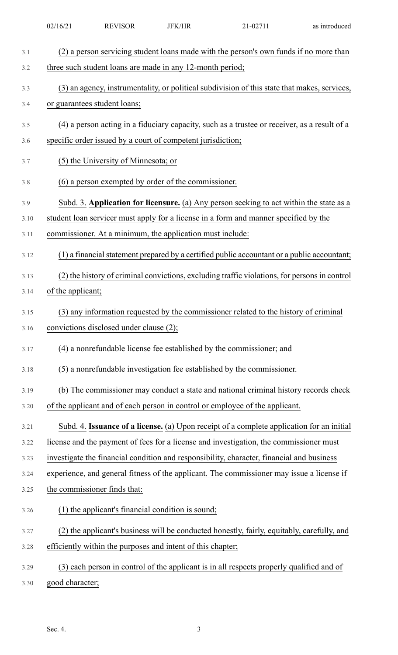| 3.1  | (2) a person servicing student loans made with the person's own funds if no more than         |
|------|-----------------------------------------------------------------------------------------------|
| 3.2  | three such student loans are made in any 12-month period;                                     |
| 3.3  | (3) an agency, instrumentality, or political subdivision of this state that makes, services,  |
| 3.4  | or guarantees student loans;                                                                  |
| 3.5  | (4) a person acting in a fiduciary capacity, such as a trustee or receiver, as a result of a  |
| 3.6  | specific order issued by a court of competent jurisdiction;                                   |
| 3.7  | (5) the University of Minnesota; or                                                           |
| 3.8  | (6) a person exempted by order of the commissioner.                                           |
| 3.9  | Subd. 3. Application for licensure. (a) Any person seeking to act within the state as a       |
| 3.10 | student loan servicer must apply for a license in a form and manner specified by the          |
| 3.11 | commissioner. At a minimum, the application must include:                                     |
| 3.12 | (1) a financial statement prepared by a certified public accountant or a public accountant;   |
| 3.13 | (2) the history of criminal convictions, excluding traffic violations, for persons in control |
| 3.14 | of the applicant;                                                                             |
| 3.15 | (3) any information requested by the commissioner related to the history of criminal          |
| 3.16 | convictions disclosed under clause (2);                                                       |
| 3.17 | (4) a nonrefundable license fee established by the commissioner; and                          |
| 3.18 | (5) a nonrefundable investigation fee established by the commissioner.                        |
| 3.19 | (b) The commissioner may conduct a state and national criminal history records check          |
| 3.20 | of the applicant and of each person in control or employee of the applicant.                  |
| 3.21 | Subd. 4. Issuance of a license. (a) Upon receipt of a complete application for an initial     |
| 3.22 | license and the payment of fees for a license and investigation, the commissioner must        |
| 3.23 | investigate the financial condition and responsibility, character, financial and business     |
| 3.24 | experience, and general fitness of the applicant. The commissioner may issue a license if     |
| 3.25 | the commissioner finds that:                                                                  |
| 3.26 | (1) the applicant's financial condition is sound;                                             |
| 3.27 | (2) the applicant's business will be conducted honestly, fairly, equitably, carefully, and    |
| 3.28 | efficiently within the purposes and intent of this chapter;                                   |
| 3.29 | (3) each person in control of the applicant is in all respects properly qualified and of      |
| 3.30 | good character;                                                                               |

02/16/21 REVISOR JFK/HR 21-02711 as introduced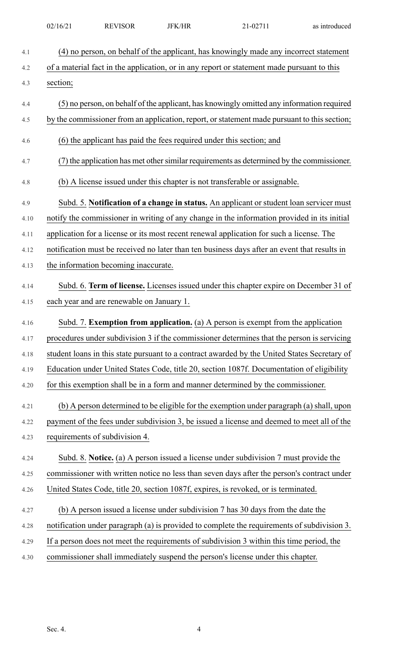| 4.1  | (4) no person, on behalf of the applicant, has knowingly made any incorrect statement        |
|------|----------------------------------------------------------------------------------------------|
| 4.2  | of a material fact in the application, or in any report or statement made pursuant to this   |
| 4.3  | section;                                                                                     |
| 4.4  | (5) no person, on behalf of the applicant, has knowingly omitted any information required    |
| 4.5  | by the commissioner from an application, report, or statement made pursuant to this section; |
| 4.6  | (6) the applicant has paid the fees required under this section; and                         |
| 4.7  | (7) the application has met other similar requirements as determined by the commissioner.    |
| 4.8  | (b) A license issued under this chapter is not transferable or assignable.                   |
| 4.9  | Subd. 5. Notification of a change in status. An applicant or student loan servicer must      |
| 4.10 | notify the commissioner in writing of any change in the information provided in its initial  |
| 4.11 | application for a license or its most recent renewal application for such a license. The     |
| 4.12 | notification must be received no later than ten business days after an event that results in |
| 4.13 | the information becoming inaccurate.                                                         |
| 4.14 | Subd. 6. Term of license. Licenses issued under this chapter expire on December 31 of        |
| 4.15 | each year and are renewable on January 1.                                                    |
| 4.16 | Subd. 7. Exemption from application. (a) A person is exempt from the application             |
| 4.17 | procedures under subdivision 3 if the commissioner determines that the person is servicing   |
| 4.18 | student loans in this state pursuant to a contract awarded by the United States Secretary of |
| 4.19 | Education under United States Code, title 20, section 1087f. Documentation of eligibility    |
| 4.20 | for this exemption shall be in a form and manner determined by the commissioner.             |
| 4.21 | (b) A person determined to be eligible for the exemption under paragraph (a) shall, upon     |
| 4.22 | payment of the fees under subdivision 3, be issued a license and deemed to meet all of the   |
| 4.23 | requirements of subdivision 4.                                                               |
| 4.24 | Subd. 8. Notice. (a) A person issued a license under subdivision 7 must provide the          |
| 4.25 | commissioner with written notice no less than seven days after the person's contract under   |
| 4.26 | United States Code, title 20, section 1087f, expires, is revoked, or is terminated.          |
| 4.27 | (b) A person issued a license under subdivision 7 has 30 days from the date the              |
| 4.28 | notification under paragraph (a) is provided to complete the requirements of subdivision 3.  |
| 4.29 | If a person does not meet the requirements of subdivision 3 within this time period, the     |
| 4.30 | commissioner shall immediately suspend the person's license under this chapter.              |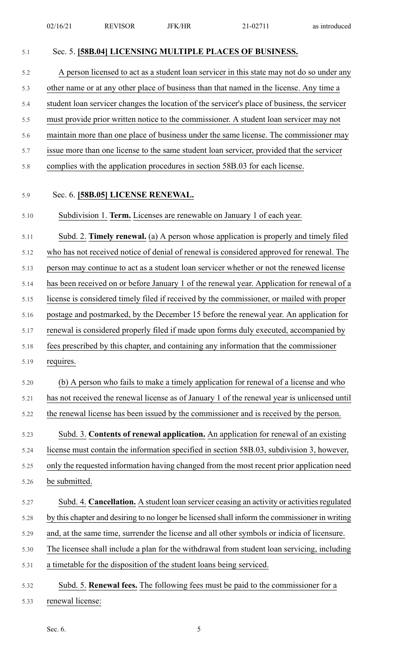| 5.1  | Sec. 5. [58B.04] LICENSING MULTIPLE PLACES OF BUSINESS.                                        |
|------|------------------------------------------------------------------------------------------------|
| 5.2  | A person licensed to act as a student loan servicer in this state may not do so under any      |
| 5.3  | other name or at any other place of business than that named in the license. Any time a        |
| 5.4  | student loan servicer changes the location of the servicer's place of business, the servicer   |
| 5.5  | must provide prior written notice to the commissioner. A student loan servicer may not         |
| 5.6  | maintain more than one place of business under the same license. The commissioner may          |
| 5.7  | issue more than one license to the same student loan servicer, provided that the servicer      |
| 5.8  | complies with the application procedures in section 58B.03 for each license.                   |
| 5.9  | Sec. 6. [58B.05] LICENSE RENEWAL.                                                              |
| 5.10 | Subdivision 1. Term. Licenses are renewable on January 1 of each year.                         |
| 5.11 | Subd. 2. Timely renewal. (a) A person whose application is properly and timely filed           |
| 5.12 | who has not received notice of denial of renewal is considered approved for renewal. The       |
| 5.13 | person may continue to act as a student loan servicer whether or not the renewed license       |
| 5.14 | has been received on or before January 1 of the renewal year. Application for renewal of a     |
| 5.15 | license is considered timely filed if received by the commissioner, or mailed with proper      |
| 5.16 | postage and postmarked, by the December 15 before the renewal year. An application for         |
| 5.17 | renewal is considered properly filed if made upon forms duly executed, accompanied by          |
| 5.18 | fees prescribed by this chapter, and containing any information that the commissioner          |
| 5.19 | requires.                                                                                      |
| 5.20 | (b) A person who fails to make a timely application for renewal of a license and who           |
| 5.21 | has not received the renewal license as of January 1 of the renewal year is unlicensed until   |
| 5.22 | the renewal license has been issued by the commissioner and is received by the person.         |
| 5.23 | Subd. 3. Contents of renewal application. An application for renewal of an existing            |
| 5.24 | license must contain the information specified in section 58B.03, subdivision 3, however,      |
| 5.25 | only the requested information having changed from the most recent prior application need      |
| 5.26 | be submitted.                                                                                  |
| 5.27 | Subd. 4. Cancellation. A student loan servicer ceasing an activity or activities regulated     |
| 5.28 | by this chapter and desiring to no longer be licensed shall inform the commissioner in writing |
| 5.29 | and, at the same time, surrender the license and all other symbols or indicia of licensure.    |
| 5.30 | The licensee shall include a plan for the withdrawal from student loan servicing, including    |
| 5.31 | a timetable for the disposition of the student loans being serviced.                           |
| 5.32 | Subd. 5. Renewal fees. The following fees must be paid to the commissioner for a               |
| 5.33 | renewal license:                                                                               |

Sec. 6. 5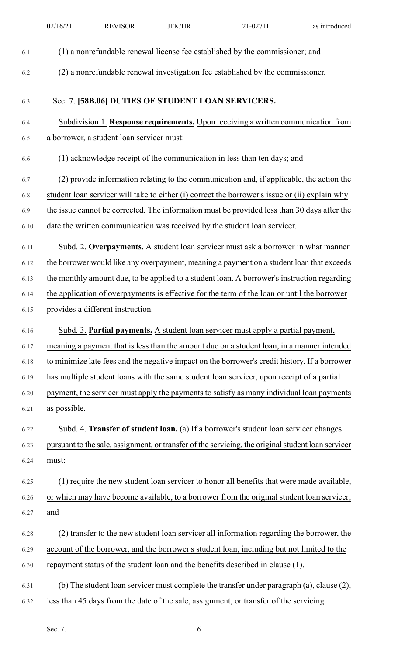|      | 02/16/21     | <b>REVISOR</b>                            | <b>JFK/HR</b> | 21-02711                                                                                           | as introduced |
|------|--------------|-------------------------------------------|---------------|----------------------------------------------------------------------------------------------------|---------------|
| 6.1  |              |                                           |               | (1) a nonrefundable renewal license fee established by the commissioner; and                       |               |
| 6.2  |              |                                           |               | (2) a nonrefundable renewal investigation fee established by the commissioner.                     |               |
|      |              |                                           |               |                                                                                                    |               |
| 6.3  |              |                                           |               | Sec. 7. [58B.06] DUTIES OF STUDENT LOAN SERVICERS.                                                 |               |
| 6.4  |              |                                           |               | Subdivision 1. Response requirements. Upon receiving a written communication from                  |               |
| 6.5  |              | a borrower, a student loan servicer must: |               |                                                                                                    |               |
| 6.6  |              |                                           |               | (1) acknowledge receipt of the communication in less than ten days; and                            |               |
| 6.7  |              |                                           |               | (2) provide information relating to the communication and, if applicable, the action the           |               |
| 6.8  |              |                                           |               | student loan servicer will take to either (i) correct the borrower's issue or (ii) explain why     |               |
| 6.9  |              |                                           |               | the issue cannot be corrected. The information must be provided less than 30 days after the        |               |
| 6.10 |              |                                           |               | date the written communication was received by the student loan servicer.                          |               |
| 6.11 |              |                                           |               | Subd. 2. Overpayments. A student loan servicer must ask a borrower in what manner                  |               |
| 6.12 |              |                                           |               | the borrower would like any overpayment, meaning a payment on a student loan that exceeds          |               |
| 6.13 |              |                                           |               | the monthly amount due, to be applied to a student loan. A borrower's instruction regarding        |               |
| 6.14 |              |                                           |               | the application of overpayments is effective for the term of the loan or until the borrower        |               |
| 6.15 |              | provides a different instruction.         |               |                                                                                                    |               |
| 6.16 |              |                                           |               | Subd. 3. Partial payments. A student loan servicer must apply a partial payment,                   |               |
| 6.17 |              |                                           |               | meaning a payment that is less than the amount due on a student loan, in a manner intended         |               |
| 6.18 |              |                                           |               | to minimize late fees and the negative impact on the borrower's credit history. If a borrower      |               |
| 6.19 |              |                                           |               | has multiple student loans with the same student loan servicer, upon receipt of a partial          |               |
| 6.20 |              |                                           |               | payment, the servicer must apply the payments to satisfy as many individual loan payments          |               |
| 6.21 | as possible. |                                           |               |                                                                                                    |               |
| 6.22 |              |                                           |               | Subd. 4. Transfer of student loan. (a) If a borrower's student loan servicer changes               |               |
| 6.23 |              |                                           |               | pursuant to the sale, assignment, or transfer of the servicing, the original student loan servicer |               |
| 6.24 | must:        |                                           |               |                                                                                                    |               |
| 6.25 |              |                                           |               | (1) require the new student loan servicer to honor all benefits that were made available,          |               |
| 6.26 |              |                                           |               | or which may have become available, to a borrower from the original student loan servicer;         |               |
| 6.27 | and          |                                           |               |                                                                                                    |               |
| 6.28 |              |                                           |               | (2) transfer to the new student loan servicer all information regarding the borrower, the          |               |
| 6.29 |              |                                           |               | account of the borrower, and the borrower's student loan, including but not limited to the         |               |
| 6.30 |              |                                           |               | repayment status of the student loan and the benefits described in clause (1).                     |               |
| 6.31 |              |                                           |               | (b) The student loan servicer must complete the transfer under paragraph (a), clause (2),          |               |
| 6.32 |              |                                           |               | less than 45 days from the date of the sale, assignment, or transfer of the servicing.             |               |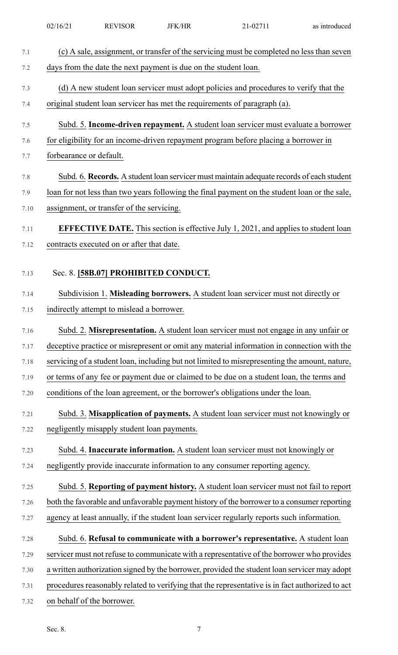| 7.1  | (c) A sale, assignment, or transfer of the servicing must be completed no less than seven       |
|------|-------------------------------------------------------------------------------------------------|
| 7.2  | days from the date the next payment is due on the student loan.                                 |
| 7.3  | (d) A new student loan servicer must adopt policies and procedures to verify that the           |
| 7.4  | original student loan servicer has met the requirements of paragraph (a).                       |
| 7.5  | Subd. 5. Income-driven repayment. A student loan servicer must evaluate a borrower              |
| 7.6  | for eligibility for an income-driven repayment program before placing a borrower in             |
| 7.7  | forbearance or default.                                                                         |
| 7.8  | Subd. 6. Records. A student loan servicer must maintain adequate records of each student        |
| 7.9  | loan for not less than two years following the final payment on the student loan or the sale,   |
| 7.10 | assignment, or transfer of the servicing.                                                       |
|      |                                                                                                 |
| 7.11 | <b>EFFECTIVE DATE.</b> This section is effective July 1, 2021, and applies to student loan      |
| 7.12 | contracts executed on or after that date.                                                       |
| 7.13 | Sec. 8. [58B.07] PROHIBITED CONDUCT.                                                            |
|      |                                                                                                 |
| 7.14 | Subdivision 1. Misleading borrowers. A student loan servicer must not directly or               |
| 7.15 | indirectly attempt to mislead a borrower.                                                       |
| 7.16 | Subd. 2. Misrepresentation. A student loan servicer must not engage in any unfair or            |
| 7.17 | deceptive practice or misrepresent or omit any material information in connection with the      |
| 7.18 | servicing of a student loan, including but not limited to misrepresenting the amount, nature,   |
| 7.19 | or terms of any fee or payment due or claimed to be due on a student loan, the terms and        |
| 7.20 | conditions of the loan agreement, or the borrower's obligations under the loan.                 |
| 7.21 | Subd. 3. Misapplication of payments. A student loan servicer must not knowingly or              |
| 7.22 | negligently misapply student loan payments.                                                     |
| 7.23 | Subd. 4. Inaccurate information. A student loan servicer must not knowingly or                  |
| 7.24 | negligently provide inaccurate information to any consumer reporting agency.                    |
| 7.25 | Subd. 5. Reporting of payment history. A student loan servicer must not fail to report          |
| 7.26 | both the favorable and unfavorable payment history of the borrower to a consumer reporting      |
| 7.27 | agency at least annually, if the student loan servicer regularly reports such information.      |
|      |                                                                                                 |
| 7.28 | Subd. 6. Refusal to communicate with a borrower's representative. A student loan                |
| 7.29 | servicer must not refuse to communicate with a representative of the borrower who provides      |
| 7.30 | a written authorization signed by the borrower, provided the student loan servicer may adopt    |
| 7.31 | procedures reasonably related to verifying that the representative is in fact authorized to act |
| 7.32 | on behalf of the borrower.                                                                      |
|      |                                                                                                 |

02/16/21 REVISOR JFK/HR 21-02711 as introduced

Sec. 8. 7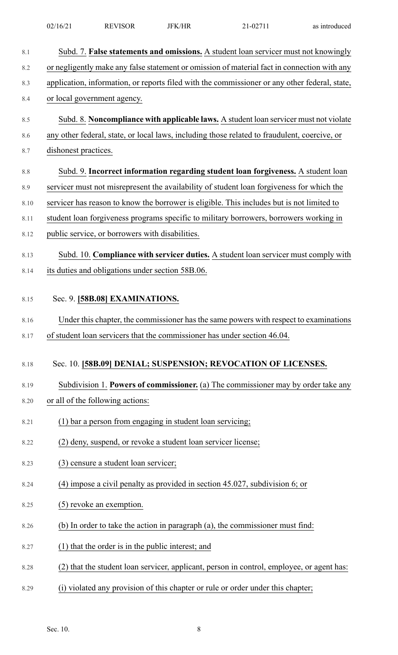| 8.1                  | Subd. 7. False statements and omissions. A student loan servicer must not knowingly                                                                                                                 |
|----------------------|-----------------------------------------------------------------------------------------------------------------------------------------------------------------------------------------------------|
| 8.2                  | or negligently make any false statement or omission of material fact in connection with any                                                                                                         |
| 8.3                  | application, information, or reports filed with the commissioner or any other federal, state,                                                                                                       |
| 8.4                  | or local government agency.                                                                                                                                                                         |
| 8.5                  | Subd. 8. Noncompliance with applicable laws. A student loan servicer must not violate                                                                                                               |
| 8.6                  | any other federal, state, or local laws, including those related to fraudulent, coercive, or                                                                                                        |
| 8.7                  | dishonest practices.                                                                                                                                                                                |
| 8.8                  | Subd. 9. Incorrect information regarding student loan forgiveness. A student loan                                                                                                                   |
| 8.9                  | servicer must not misrepresent the availability of student loan forgiveness for which the                                                                                                           |
| 8.10                 | servicer has reason to know the borrower is eligible. This includes but is not limited to                                                                                                           |
| 8.11                 | student loan forgiveness programs specific to military borrowers, borrowers working in                                                                                                              |
| 8.12                 | public service, or borrowers with disabilities.                                                                                                                                                     |
| 8.13                 | Subd. 10. Compliance with servicer duties. A student loan servicer must comply with                                                                                                                 |
| 8.14                 | its duties and obligations under section 58B.06.                                                                                                                                                    |
| 8.15<br>8.16<br>8.17 | Sec. 9. [58B.08] EXAMINATIONS.<br>Under this chapter, the commissioner has the same powers with respect to examinations<br>of student loan servicers that the commissioner has under section 46.04. |
| 8.18                 | Sec. 10. [58B.09] DENIAL; SUSPENSION; REVOCATION OF LICENSES.                                                                                                                                       |
| 8.19                 | Subdivision 1. Powers of commissioner. (a) The commissioner may by order take any                                                                                                                   |
| 8.20                 | or all of the following actions:                                                                                                                                                                    |
| 8.21                 | (1) bar a person from engaging in student loan servicing;                                                                                                                                           |
| 8.22                 | (2) deny, suspend, or revoke a student loan servicer license;                                                                                                                                       |
| 8.23                 | (3) censure a student loan servicer;                                                                                                                                                                |
| 8.24                 | (4) impose a civil penalty as provided in section 45.027, subdivision 6; or                                                                                                                         |
| 8.25                 | (5) revoke an exemption.                                                                                                                                                                            |
| 8.26                 | (b) In order to take the action in paragraph (a), the commissioner must find:                                                                                                                       |
| 8.27                 | (1) that the order is in the public interest; and                                                                                                                                                   |
| 8.28                 | (2) that the student loan servicer, applicant, person in control, employee, or agent has:                                                                                                           |
| 8.29                 | violated any provision of this chapter or rule or order under this chapter;<br>(i)                                                                                                                  |
|                      |                                                                                                                                                                                                     |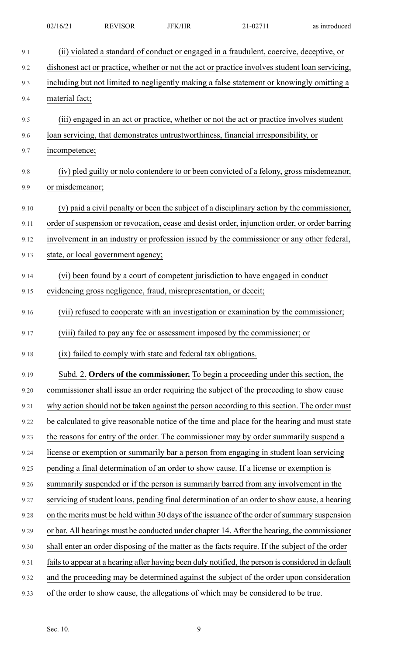| 9.1  | (ii) violated a standard of conduct or engaged in a fraudulent, coercive, deceptive, or           |
|------|---------------------------------------------------------------------------------------------------|
| 9.2  | dishonest act or practice, whether or not the act or practice involves student loan servicing,    |
| 9.3  | including but not limited to negligently making a false statement or knowingly omitting a         |
| 9.4  | material fact;                                                                                    |
| 9.5  | (iii) engaged in an act or practice, whether or not the act or practice involves student          |
| 9.6  | loan servicing, that demonstrates untrustworthiness, financial irresponsibility, or               |
| 9.7  | incompetence;                                                                                     |
| 9.8  | (iv) pled guilty or nolo contendere to or been convicted of a felony, gross misdemeanor,          |
| 9.9  | or misdemeanor;                                                                                   |
| 9.10 | (v) paid a civil penalty or been the subject of a disciplinary action by the commissioner,        |
| 9.11 | order of suspension or revocation, cease and desist order, injunction order, or order barring     |
|      |                                                                                                   |
| 9.12 | involvement in an industry or profession issued by the commissioner or any other federal,         |
| 9.13 | state, or local government agency;                                                                |
| 9.14 | (vi) been found by a court of competent jurisdiction to have engaged in conduct                   |
| 9.15 | evidencing gross negligence, fraud, misrepresentation, or deceit;                                 |
| 9.16 | (vii) refused to cooperate with an investigation or examination by the commissioner;              |
| 9.17 | (viii) failed to pay any fee or assessment imposed by the commissioner; or                        |
| 9.18 | (ix) failed to comply with state and federal tax obligations.                                     |
| 9.19 | Subd. 2. Orders of the commissioner. To begin a proceeding under this section, the                |
| 9.20 | commissioner shall issue an order requiring the subject of the proceeding to show cause           |
| 9.21 | why action should not be taken against the person according to this section. The order must       |
| 9.22 | be calculated to give reasonable notice of the time and place for the hearing and must state      |
| 9.23 | the reasons for entry of the order. The commissioner may by order summarily suspend a             |
| 9.24 | license or exemption or summarily bar a person from engaging in student loan servicing            |
| 9.25 | pending a final determination of an order to show cause. If a license or exemption is             |
| 9.26 | summarily suspended or if the person is summarily barred from any involvement in the              |
| 9.27 | servicing of student loans, pending final determination of an order to show cause, a hearing      |
| 9.28 | on the merits must be held within 30 days of the issuance of the order of summary suspension      |
| 9.29 | or bar. All hearings must be conducted under chapter 14. After the hearing, the commissioner      |
| 9.30 | shall enter an order disposing of the matter as the facts require. If the subject of the order    |
| 9.31 | fails to appear at a hearing after having been duly notified, the person is considered in default |
| 9.32 | and the proceeding may be determined against the subject of the order upon consideration          |
| 9.33 | of the order to show cause, the allegations of which may be considered to be true.                |